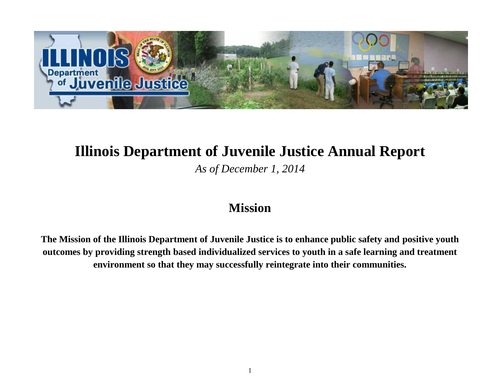

### **Illinois Department of Juvenile Justice Annual Report**

*As of December 1, 2014*

### **Mission**

**The Mission of the Illinois Department of Juvenile Justice is to enhance public safety and positive youth outcomes by providing strength based individualized services to youth in a safe learning and treatment environment so that they may successfully reintegrate into their communities.**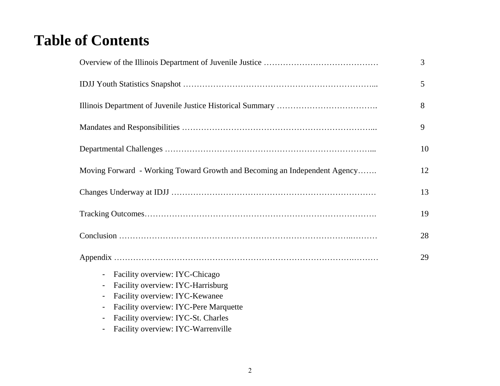# **Table of Contents**

|                                                                                                                                                                                                                                                        | $\overline{3}$ |
|--------------------------------------------------------------------------------------------------------------------------------------------------------------------------------------------------------------------------------------------------------|----------------|
|                                                                                                                                                                                                                                                        | 5              |
|                                                                                                                                                                                                                                                        | 8              |
|                                                                                                                                                                                                                                                        | 9              |
|                                                                                                                                                                                                                                                        | 10             |
| Moving Forward - Working Toward Growth and Becoming an Independent Agency                                                                                                                                                                              | 12             |
|                                                                                                                                                                                                                                                        | 13             |
|                                                                                                                                                                                                                                                        | 19             |
|                                                                                                                                                                                                                                                        | 28             |
| Facility overview: IYC-Chicago<br>$\blacksquare$<br>Facility overview: IYC-Harrisburg<br>Facility overview: IYC-Kewanee<br>Facility overview: IYC-Pere Marquette<br>Facility overview: IYC-St. Charles<br>٠<br>Facility overview: IYC-Warrenville<br>٠ | 29             |
|                                                                                                                                                                                                                                                        |                |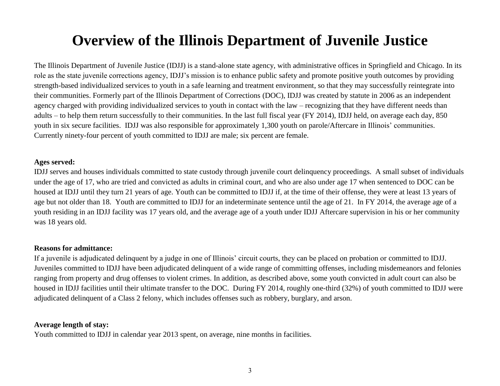# **Overview of the Illinois Department of Juvenile Justice**

The Illinois Department of Juvenile Justice (IDJJ) is a stand-alone state agency, with administrative offices in [Springfield](http://en.wikipedia.org/wiki/Springfield,_Illinois) and Chicago. In its role as the state juvenile corrections agency, IDJJ's mission is to enhance public safety and promote positive youth outcomes by providing strength-based individualized services to youth in a safe learning and treatment environment, so that they may successfully reintegrate into their communities. Formerly part of the Illinois Department of Corrections (DOC), IDJJ was created by statute in 2006 as an independent agency charged with providing individualized services to youth in contact with the law – recognizing that they have different needs than adults – to help them return successfully to their communities. In the last full fiscal year (FY 2014), IDJJ held, on average each day, 850 youth in six secure facilities. IDJJ was also responsible for approximately 1,300 youth on parole/Aftercare in Illinois' communities. Currently ninety-four percent of youth committed to IDJJ are male; six percent are female.

#### **Ages served:**

IDJJ serves and houses individuals committed to state custody through juvenile court delinquency proceedings. A small subset of individuals under the age of 17, who are tried and convicted as adults in criminal court, and who are also under age 17 when sentenced to DOC can be housed at IDJJ until they turn 21 years of age. Youth can be committed to IDJJ if, at the time of their offense, they were at least 13 years of age but not older than 18. Youth are committed to IDJJ for an indeterminate sentence until the age of 21. In FY 2014, the average age of a youth residing in an IDJJ facility was 17 years old, and the average age of a youth under IDJJ Aftercare supervision in his or her community was 18 years old.

#### **Reasons for admittance:**

If a juvenile is adjudicated delinquent by a judge in one of Illinois' circuit courts, they can be placed on probation or committed to IDJJ. Juveniles committed to IDJJ have been adjudicated delinquent of a wide range of committing offenses, including misdemeanors and felonies ranging from property and drug offenses to violent crimes. In addition, as described above, some youth convicted in adult court can also be housed in IDJJ facilities until their ultimate transfer to the DOC. During FY 2014, roughly one-third (32%) of youth committed to IDJJ were adjudicated delinquent of a Class 2 felony, which includes offenses such as robbery, burglary, and arson.

#### **Average length of stay:**

Youth committed to IDJJ in calendar year 2013 spent, on average, nine months in facilities.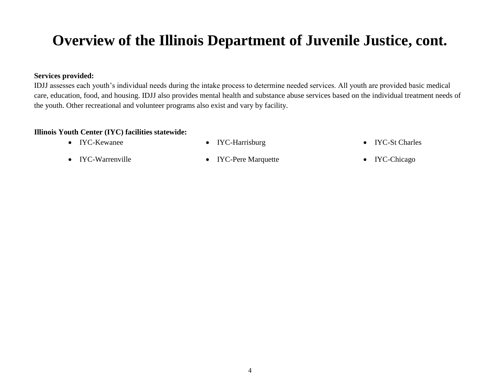# **Overview of the Illinois Department of Juvenile Justice, cont.**

#### **Services provided:**

IDJJ assesses each youth's individual needs during the intake process to determine needed services. All youth are provided basic medical care, education, food, and housing. IDJJ also provides mental health and substance abuse services based on the individual treatment needs of the youth. Other recreational and volunteer programs also exist and vary by facility.

#### **Illinois Youth Center (IYC) facilities statewide:**

- 
- IYC-Kewanee IYC-Harrisburg IYC-St Charles
- IYC-Warrenville IYC-Pere Marquette IYC-Chicago
	-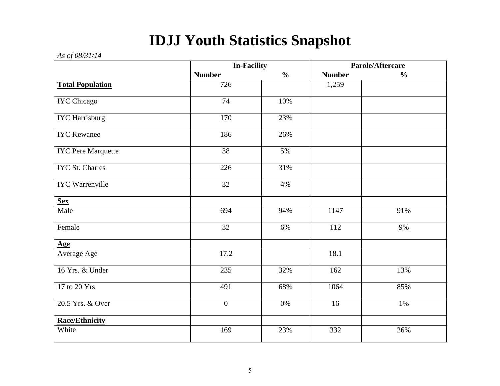# **IDJJ Youth Statistics Snapshot**

#### *As of 08/31/14*

|                           | <b>In-Facility</b> |               | Parole/Aftercare |               |
|---------------------------|--------------------|---------------|------------------|---------------|
|                           | <b>Number</b>      | $\frac{0}{0}$ | <b>Number</b>    | $\frac{0}{0}$ |
| <b>Total Population</b>   | 726                |               | 1,259            |               |
| <b>IYC</b> Chicago        | $\overline{74}$    | 10%           |                  |               |
| <b>IYC</b> Harrisburg     | 170                | 23%           |                  |               |
| <b>IYC</b> Kewanee        | 186                | 26%           |                  |               |
| <b>IYC Pere Marquette</b> | 38                 | 5%            |                  |               |
| <b>IYC St. Charles</b>    | 226                | 31%           |                  |               |
| <b>IYC</b> Warrenville    | $\overline{32}$    | 4%            |                  |               |
| <b>Sex</b>                |                    |               |                  |               |
| Male                      | 694                | 94%           | 1147             | 91%           |
| Female                    | 32                 | 6%            | 112              | 9%            |
| <b>Age</b>                |                    |               |                  |               |
| Average Age               | 17.2               |               | 18.1             |               |
| 16 Yrs. & Under           | 235                | 32%           | 162              | 13%           |
| 17 to 20 Yrs              | 491                | 68%           | 1064             | 85%           |
| 20.5 Yrs. & Over          | $\overline{0}$     | 0%            | 16               | 1%            |
| <b>Race/Ethnicity</b>     |                    |               |                  |               |
| White                     | 169                | 23%           | 332              | 26%           |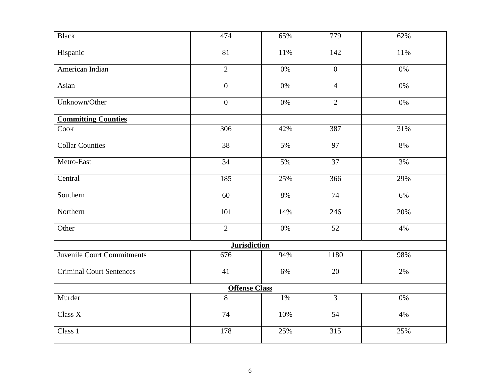| <b>Black</b>                      | 474                  | 65%   | 779             | 62%   |
|-----------------------------------|----------------------|-------|-----------------|-------|
| Hispanic                          | 81                   | 11%   | 142             | 11%   |
| American Indian                   | $\overline{2}$       | $0\%$ | $\mathbf{0}$    | 0%    |
| Asian                             | $\overline{0}$       | $0\%$ | $\overline{4}$  | $0\%$ |
| Unknown/Other                     | $\overline{0}$       | $0\%$ | $\overline{2}$  | $0\%$ |
| <b>Committing Counties</b>        |                      |       |                 |       |
| Cook                              | 306                  | 42%   | 387             | 31%   |
| <b>Collar Counties</b>            | $\overline{38}$      | 5%    | 97              | 8%    |
| Metro-East                        | 34                   | 5%    | 37              | 3%    |
| Central                           | 185                  | 25%   | 366             | 29%   |
| Southern                          | 60                   | 8%    | 74              | 6%    |
| Northern                          | 101                  | 14%   | 246             | 20%   |
| Other                             | $\overline{2}$       | $0\%$ | 52              | 4%    |
|                                   | <b>Jurisdiction</b>  |       |                 |       |
| <b>Juvenile Court Commitments</b> | 676                  | 94%   | 1180            | 98%   |
| <b>Criminal Court Sentences</b>   | $\overline{41}$      | 6%    | $\overline{20}$ | 2%    |
|                                   | <b>Offense Class</b> |       |                 |       |
| Murder                            | $\overline{8}$       | 1%    | $\overline{3}$  | $0\%$ |
| Class X                           | 74                   | 10%   | 54              | 4%    |
| Class 1                           | 178                  | 25%   | 315             | 25%   |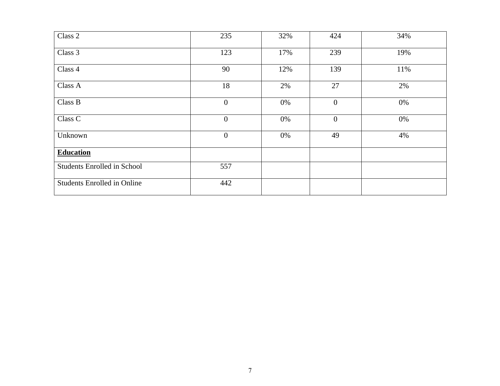| Class 2                            | 235            | 32% | 424            | 34% |
|------------------------------------|----------------|-----|----------------|-----|
| Class 3                            | 123            | 17% | 239            | 19% |
| Class 4                            | 90             | 12% | 139            | 11% |
| Class A                            | 18             | 2%  | 27             | 2%  |
| Class B                            | $\overline{0}$ | 0%  | $\overline{0}$ | 0%  |
| Class C                            | $\overline{0}$ | 0%  | $\overline{0}$ | 0%  |
| Unknown                            | $\overline{0}$ | 0%  | 49             | 4%  |
| <b>Education</b>                   |                |     |                |     |
| <b>Students Enrolled in School</b> | 557            |     |                |     |
| <b>Students Enrolled in Online</b> | 442            |     |                |     |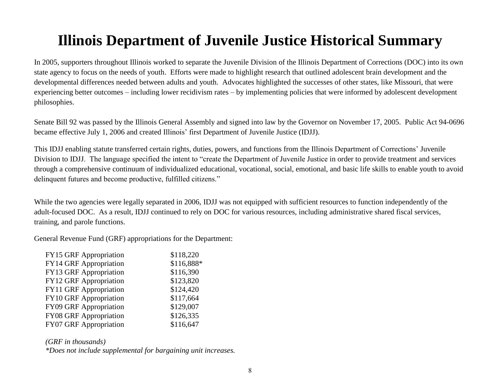# **Illinois Department of Juvenile Justice Historical Summary**

In 2005, supporters throughout Illinois worked to separate the Juvenile Division of the Illinois Department of Corrections (DOC) into its own state agency to focus on the needs of youth. Efforts were made to highlight research that outlined adolescent brain development and the developmental differences needed between adults and youth. Advocates highlighted the successes of other states, like Missouri, that were experiencing better outcomes – including lower recidivism rates – by implementing policies that were informed by adolescent development philosophies.

Senate Bill 92 was passed by the Illinois General Assembly and signed into law by the Governor on November 17, 2005. Public Act 94-0696 became effective July 1, 2006 and created Illinois' first Department of Juvenile Justice (IDJJ).

This IDJJ enabling statute transferred certain rights, duties, powers, and functions from the Illinois Department of Corrections' Juvenile Division to IDJJ. The language specified the intent to "create the Department of Juvenile Justice in order to provide treatment and services through a comprehensive continuum of individualized educational, vocational, social, emotional, and basic life skills to enable youth to avoid delinquent futures and become productive, fulfilled citizens."

While the two agencies were legally separated in 2006, IDJJ was not equipped with sufficient resources to function independently of the adult-focused DOC. As a result, IDJJ continued to rely on DOC for various resources, including administrative shared fiscal services, training, and parole functions.

General Revenue Fund (GRF) appropriations for the Department:

| <b>FY15 GRF Appropriation</b> | \$118,220  |
|-------------------------------|------------|
| <b>FY14 GRF Appropriation</b> | \$116,888* |
| FY13 GRF Appropriation        | \$116,390  |
| <b>FY12 GRF Appropriation</b> | \$123,820  |
| FY11 GRF Appropriation        | \$124,420  |
| FY10 GRF Appropriation        | \$117,664  |
| FY09 GRF Appropriation        | \$129,007  |
| FY08 GRF Appropriation        | \$126,335  |
| FY07 GRF Appropriation        | \$116,647  |

*(GRF in thousands)*

*\*Does not include supplemental for bargaining unit increases.*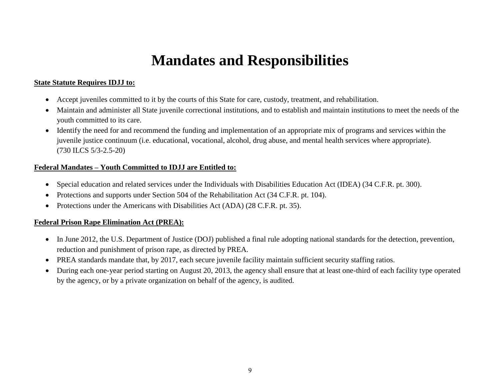# **Mandates and Responsibilities**

#### **State Statute Requires IDJJ to:**

- Accept juveniles committed to it by the courts of this State for care, custody, treatment, and rehabilitation.
- Maintain and administer all State juvenile correctional institutions, and to establish and maintain institutions to meet the needs of the youth committed to its care.
- Identify the need for and recommend the funding and implementation of an appropriate mix of programs and services within the juvenile justice continuum (i.e. educational, vocational, alcohol, drug abuse, and mental health services where appropriate). (730 ILCS 5/3-2.5-20)

#### **Federal Mandates – Youth Committed to IDJJ are Entitled to:**

- Special education and related services under the Individuals with Disabilities Education Act (IDEA) (34 C.F.R. pt. 300).
- Protections and supports under Section 504 of the Rehabilitation Act (34 C.F.R. pt. 104).
- Protections under the Americans with Disabilities Act (ADA) (28 C.F.R. pt. 35).

#### **Federal Prison Rape Elimination Act (PREA):**

- In June 2012, the U.S. Department of Justice (DOJ) published a final rule adopting national standards for the detection, prevention, reduction and punishment of prison rape, as directed by PREA.
- PREA standards mandate that, by 2017, each secure juvenile facility maintain sufficient security staffing ratios.
- During each one-year period starting on August 20, 2013, the agency shall ensure that at least one-third of each facility type operated by the agency, or by a private organization on behalf of the agency, is audited.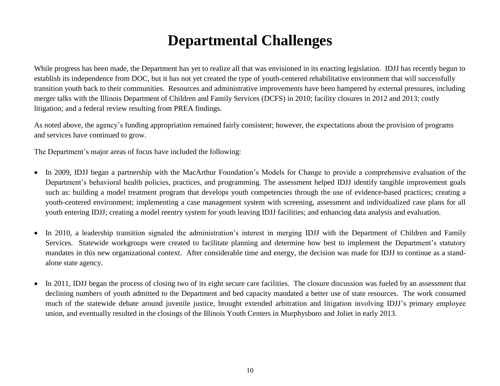# **Departmental Challenges**

While progress has been made, the Department has yet to realize all that was envisioned in its enacting legislation. IDJJ has recently begun to establish its independence from DOC, but it has not yet created the type of youth-centered rehabilitative environment that will successfully transition youth back to their communities. Resources and administrative improvements have been hampered by external pressures, including merger talks with the Illinois Department of Children and Family Services (DCFS) in 2010; facility closures in 2012 and 2013; costly litigation; and a federal review resulting from PREA findings.

As noted above, the agency's funding appropriation remained fairly consistent; however, the expectations about the provision of programs and services have continued to grow.

The Department's major areas of focus have included the following:

- In 2009, IDJJ began a partnership with the MacArthur Foundation's Models for Change to provide a comprehensive evaluation of the Department's behavioral health policies, practices, and programming. The assessment helped IDJJ identify tangible improvement goals such as: building a model treatment program that develops youth competencies through the use of evidence-based practices; creating a youth-centered environment; implementing a case management system with screening, assessment and individualized case plans for all youth entering IDJJ; creating a model reentry system for youth leaving IDJJ facilities; and enhancing data analysis and evaluation.
- In 2010, a leadership transition signaled the administration's interest in merging IDJJ with the Department of Children and Family Services. Statewide workgroups were created to facilitate planning and determine how best to implement the Department's statutory mandates in this new organizational context. After considerable time and energy, the decision was made for IDJJ to continue as a standalone state agency.
- In 2011, IDJJ began the process of closing two of its eight secure care facilities. The closure discussion was fueled by an assessment that declining numbers of youth admitted to the Department and bed capacity mandated a better use of state resources. The work consumed much of the statewide debate around juvenile justice, brought extended arbitration and litigation involving IDJJ's primary employee union, and eventually resulted in the closings of the Illinois Youth Centers in Murphysboro and Joliet in early 2013.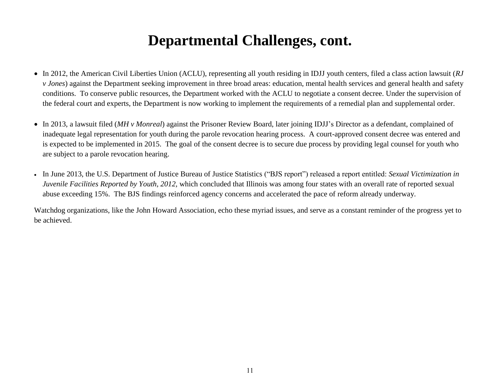# **Departmental Challenges, cont.**

- In 2012, the American Civil Liberties Union (ACLU), representing all youth residing in IDJJ youth centers, filed a class action lawsuit (*RJ v Jones*) against the Department seeking improvement in three broad areas: education, mental health services and general health and safety conditions. To conserve public resources, the Department worked with the ACLU to negotiate a consent decree. Under the supervision of the federal court and experts, the Department is now working to implement the requirements of a remedial plan and supplemental order.
- In 2013, a lawsuit filed (*MH v Monreal*) against the Prisoner Review Board, later joining IDJJ's Director as a defendant, complained of inadequate legal representation for youth during the parole revocation hearing process. A court-approved consent decree was entered and is expected to be implemented in 2015. The goal of the consent decree is to secure due process by providing legal counsel for youth who are subject to a parole revocation hearing.
- In June 2013, the U.S. Department of Justice Bureau of Justice Statistics ("BJS report") released a report entitled: *Sexual Victimization in Juvenile Facilities Reported by Youth, 2012,* which concluded that Illinois was among four states with an overall rate of reported sexual abuse exceeding 15%. The BJS findings reinforced agency concerns and accelerated the pace of reform already underway.

Watchdog organizations, like the John Howard Association, echo these myriad issues, and serve as a constant reminder of the progress yet to be achieved.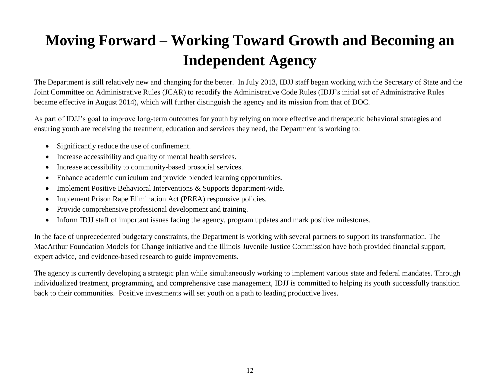# **Moving Forward – Working Toward Growth and Becoming an Independent Agency**

The Department is still relatively new and changing for the better. In July 2013, IDJJ staff began working with the Secretary of State and the Joint Committee on Administrative Rules (JCAR) to recodify the Administrative Code Rules (IDJJ's initial set of Administrative Rules became effective in August 2014), which will further distinguish the agency and its mission from that of DOC.

As part of IDJJ's goal to improve long-term outcomes for youth by relying on more effective and therapeutic behavioral strategies and ensuring youth are receiving the treatment, education and services they need, the Department is working to:

- Significantly reduce the use of confinement.
- Increase accessibility and quality of mental health services.
- Increase accessibility to community-based prosocial services.
- Enhance academic curriculum and provide blended learning opportunities.
- Implement Positive Behavioral Interventions & Supports department-wide.
- Implement Prison Rape Elimination Act (PREA) responsive policies.
- Provide comprehensive professional development and training.
- Inform IDJJ staff of important issues facing the agency, program updates and mark positive milestones.

In the face of unprecedented budgetary constraints, the Department is working with several partners to support its transformation. The MacArthur Foundation Models for Change initiative and the Illinois Juvenile Justice Commission have both provided financial support, expert advice, and evidence-based research to guide improvements.

The agency is currently developing a strategic plan while simultaneously working to implement various state and federal mandates. Through individualized treatment, programming, and comprehensive case management, IDJJ is committed to helping its youth successfully transition back to their communities. Positive investments will set youth on a path to leading productive lives.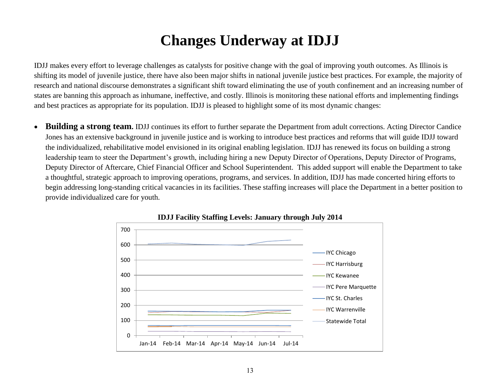# **Changes Underway at IDJJ**

IDJJ makes every effort to leverage challenges as catalysts for positive change with the goal of improving youth outcomes. As Illinois is shifting its model of juvenile justice, there have also been major shifts in national juvenile justice best practices. For example, the majority of research and national discourse demonstrates a significant shift toward eliminating the use of youth confinement and an increasing number of states are banning this approach as inhumane, ineffective, and costly. Illinois is monitoring these national efforts and implementing findings and best practices as appropriate for its population. IDJJ is pleased to highlight some of its most dynamic changes:

 **Building a strong team.** IDJJ continues its effort to further separate the Department from adult corrections. Acting Director Candice Jones has an extensive background in juvenile justice and is working to introduce best practices and reforms that will guide IDJJ toward the individualized, rehabilitative model envisioned in its original enabling legislation. IDJJ has renewed its focus on building a strong leadership team to steer the Department's growth, including hiring a new Deputy Director of Operations, Deputy Director of Programs, Deputy Director of Aftercare, Chief Financial Officer and School Superintendent. This added support will enable the Department to take a thoughtful, strategic approach to improving operations, programs, and services. In addition, IDJJ has made concerted hiring efforts to begin addressing long-standing critical vacancies in its facilities. These staffing increases will place the Department in a better position to provide individualized care for youth.



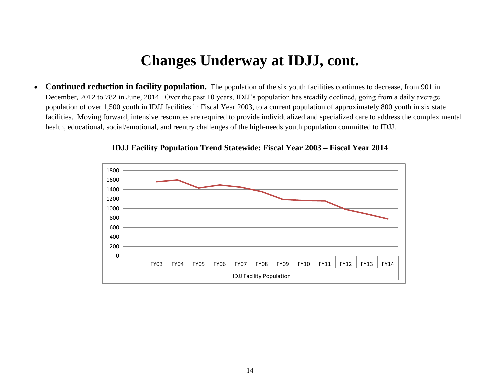• **Continued reduction in facility population.** The population of the six youth facilities continues to decrease, from 901 in December, 2012 to 782 in June, 2014. Over the past 10 years, IDJJ's population has steadily declined, going from a daily average population of over 1,500 youth in IDJJ facilities in Fiscal Year 2003, to a current population of approximately 800 youth in six state facilities. Moving forward, intensive resources are required to provide individualized and specialized care to address the complex mental health, educational, social/emotional, and reentry challenges of the high-needs youth population committed to IDJJ.



**IDJJ Facility Population Trend Statewide: Fiscal Year 2003 – Fiscal Year 2014**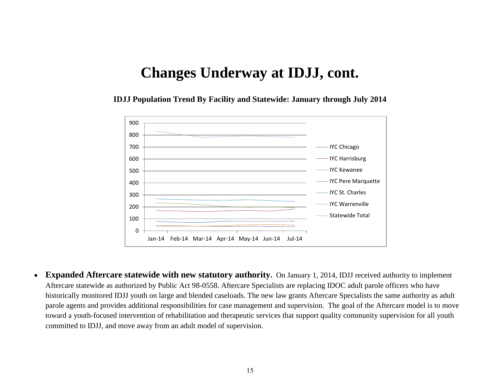**IDJJ Population Trend By Facility and Statewide: January through July 2014**



 **Expanded Aftercare statewide with new statutory authority.** On January 1, 2014, IDJJ received authority to implement Aftercare statewide as authorized by Public Act 98-0558. Aftercare Specialists are replacing IDOC adult parole officers who have historically monitored IDJJ youth on large and blended caseloads. The new law grants Aftercare Specialists the same authority as adult parole agents and provides additional responsibilities for case management and supervision. The goal of the Aftercare model is to move toward a youth-focused intervention of rehabilitation and therapeutic services that support quality community supervision for all youth committed to IDJJ, and move away from an adult model of supervision.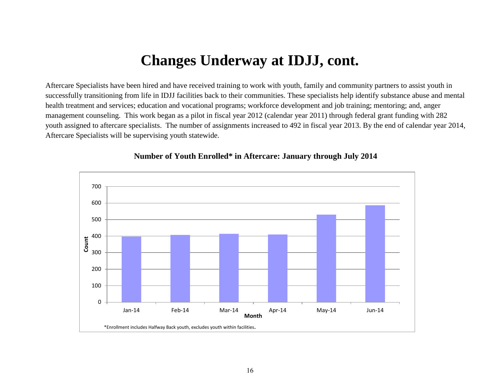Aftercare Specialists have been hired and have received training to work with youth, family and community partners to assist youth in successfully transitioning from life in IDJJ facilities back to their communities. These specialists help identify substance abuse and mental health treatment and services; education and vocational programs; workforce development and job training; mentoring; and, anger management counseling. This work began as a pilot in fiscal year 2012 (calendar year 2011) through federal grant funding with 282 youth assigned to aftercare specialists. The number of assignments increased to 492 in fiscal year 2013. By the end of calendar year 2014, Aftercare Specialists will be supervising youth statewide.



#### **Number of Youth Enrolled\* in Aftercare: January through July 2014**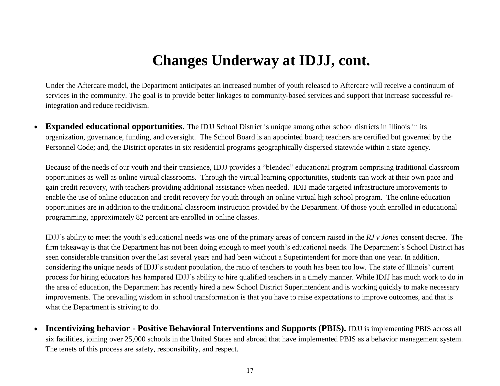Under the Aftercare model, the Department anticipates an increased number of youth released to Aftercare will receive a continuum of services in the community. The goal is to provide better linkages to community-based services and support that increase successful reintegration and reduce recidivism.

 **Expanded educational opportunities.** The IDJJ School District is unique among other school districts in Illinois in its organization, governance, funding, and oversight. The School Board is an appointed board; teachers are certified but governed by the Personnel Code; and, the District operates in six residential programs geographically dispersed statewide within a state agency.

Because of the needs of our youth and their transience, IDJJ provides a "blended" educational program comprising traditional classroom opportunities as well as online virtual classrooms. Through the virtual learning opportunities, students can work at their own pace and gain credit recovery, with teachers providing additional assistance when needed. IDJJ made targeted infrastructure improvements to enable the use of online education and credit recovery for youth through an online virtual high school program. The online education opportunities are in addition to the traditional classroom instruction provided by the Department. Of those youth enrolled in educational programming, approximately 82 percent are enrolled in online classes.

IDJJ's ability to meet the youth's educational needs was one of the primary areas of concern raised in the *RJ v Jones* consent decree. The firm takeaway is that the Department has not been doing enough to meet youth's educational needs. The Department's School District has seen considerable transition over the last several years and had been without a Superintendent for more than one year. In addition, considering the unique needs of IDJJ's student population, the ratio of teachers to youth has been too low. The state of Illinois' current process for hiring educators has hampered IDJJ's ability to hire qualified teachers in a timely manner. While IDJJ has much work to do in the area of education, the Department has recently hired a new School District Superintendent and is working quickly to make necessary improvements. The prevailing wisdom in school transformation is that you have to raise expectations to improve outcomes, and that is what the Department is striving to do.

 **Incentivizing behavior - Positive Behavioral Interventions and Supports (PBIS).** IDJJ is implementing PBIS across all six facilities, joining over 25,000 schools in the United States and abroad that have implemented PBIS as a behavior management system. The tenets of this process are safety, responsibility, and respect.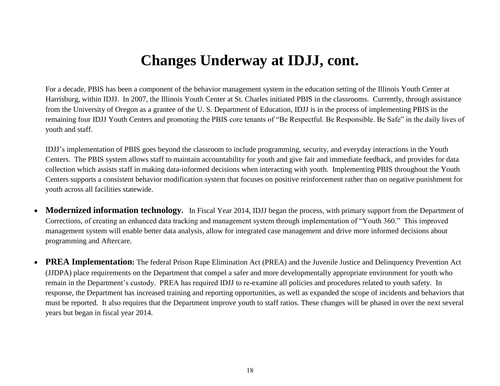For a decade, PBIS has been a component of the behavior management system in the education setting of the Illinois Youth Center at Harrisburg, within IDJJ. In 2007, the Illinois Youth Center at St. Charles initiated PBIS in the classrooms. Currently, through assistance from the University of Oregon as a grantee of the U. S. Department of Education, IDJJ is in the process of implementing PBIS in the remaining four IDJJ Youth Centers and promoting the PBIS core tenants of "Be Respectful. Be Responsible. Be Safe" in the daily lives of youth and staff.

IDJJ's implementation of PBIS goes beyond the classroom to include programming, security, and everyday interactions in the Youth Centers. The PBIS system allows staff to maintain accountability for youth and give fair and immediate feedback, and provides for data collection which assists staff in making data-informed decisions when interacting with youth. Implementing PBIS throughout the Youth Centers supports a consistent behavior modification system that focuses on positive reinforcement rather than on negative punishment for youth across all facilities statewide.

- **Modernized information technology.** In Fiscal Year 2014, IDJJ began the process, with primary support from the Department of Corrections, of creating an enhanced data tracking and management system through implementation of "Youth 360." This improved management system will enable better data analysis, allow for integrated case management and drive more informed decisions about programming and Aftercare.
- **PREA Implementation:** The federal Prison Rape Elimination Act (PREA) and the Juvenile Justice and Delinquency Prevention Act (JJDPA) place requirements on the Department that compel a safer and more developmentally appropriate environment for youth who remain in the Department's custody. PREA has required IDJJ to re-examine all policies and procedures related to youth safety. In response, the Department has increased training and reporting opportunities, as well as expanded the scope of incidents and behaviors that must be reported. It also requires that the Department improve youth to staff ratios. These changes will be phased in over the next several years but began in fiscal year 2014.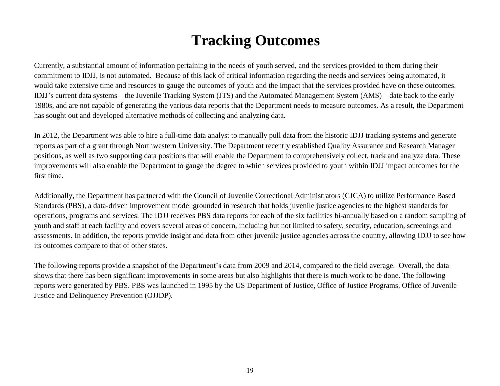# **Tracking Outcomes**

Currently, a substantial amount of information pertaining to the needs of youth served, and the services provided to them during their commitment to IDJJ, is not automated. Because of this lack of critical information regarding the needs and services being automated, it would take extensive time and resources to gauge the outcomes of youth and the impact that the services provided have on these outcomes. IDJJ's current data systems – the Juvenile Tracking System (JTS) and the Automated Management System (AMS) – date back to the early 1980s, and are not capable of generating the various data reports that the Department needs to measure outcomes. As a result, the Department has sought out and developed alternative methods of collecting and analyzing data.

In 2012, the Department was able to hire a full-time data analyst to manually pull data from the historic IDJJ tracking systems and generate reports as part of a grant through Northwestern University. The Department recently established Quality Assurance and Research Manager positions, as well as two supporting data positions that will enable the Department to comprehensively collect, track and analyze data. These improvements will also enable the Department to gauge the degree to which services provided to youth within IDJJ impact outcomes for the first time.

Additionally, the Department has partnered with the Council of Juvenile Correctional Administrators (CJCA) to utilize Performance Based Standards (PBS), a data-driven improvement model grounded in research that holds juvenile justice agencies to the highest standards for operations, programs and services. The IDJJ receives PBS data reports for each of the six facilities bi-annually based on a random sampling of youth and staff at each facility and covers several areas of concern, including but not limited to safety, security, education, screenings and assessments. In addition, the reports provide insight and data from other juvenile justice agencies across the country, allowing IDJJ to see how its outcomes compare to that of other states.

The following reports provide a snapshot of the Department's data from 2009 and 2014, compared to the field average. Overall, the data shows that there has been significant improvements in some areas but also highlights that there is much work to be done. The following reports were generated by PBS. PBS was launched in 1995 by the US Department of Justice, Office of Justice Programs, Office of Juvenile Justice and Delinquency Prevention (OJJDP).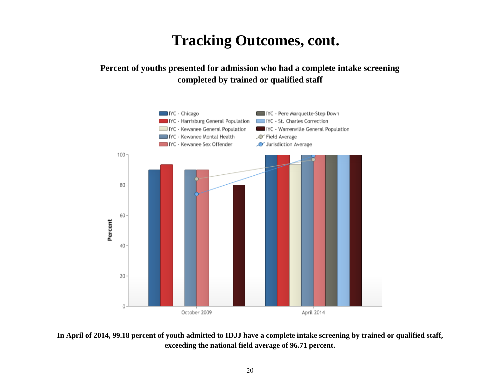### **Percent of youths presented for admission who had a complete intake screening completed by trained or qualified staff**



**In April of 2014, 99.18 percent of youth admitted to IDJJ have a complete intake screening by trained or qualified staff, exceeding the national field average of 96.71 percent.**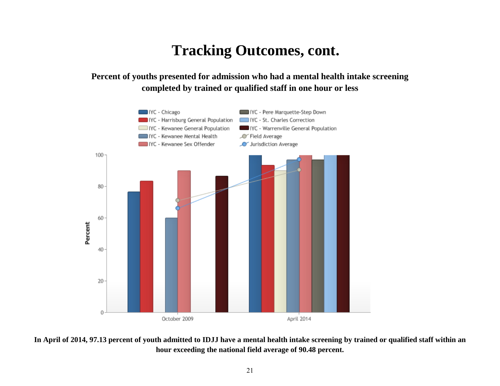### **Percent of youths presented for admission who had a mental health intake screening completed by trained or qualified staff in one hour or less**



**In April of 2014, 97.13 percent of youth admitted to IDJJ have a mental health intake screening by trained or qualified staff within an hour exceeding the national field average of 90.48 percent.**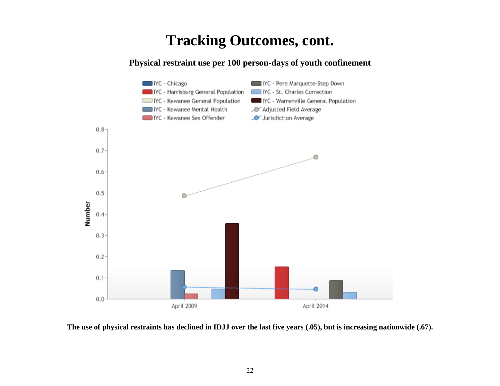### **Physical restraint use per 100 person-days of youth confinement**



**The use of physical restraints has declined in IDJJ over the last five years (.05), but is increasing nationwide (.67).**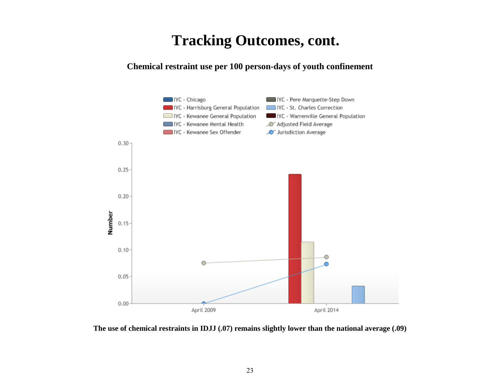**Chemical restraint use per 100 person-days of youth confinement**



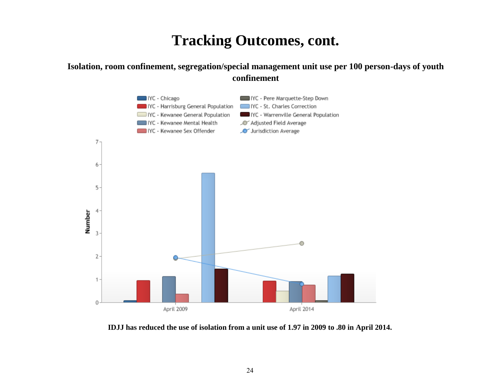### **Isolation, room confinement, segregation/special management unit use per 100 person-days of youth confinement**



**IDJJ has reduced the use of isolation from a unit use of 1.97 in 2009 to .80 in April 2014.**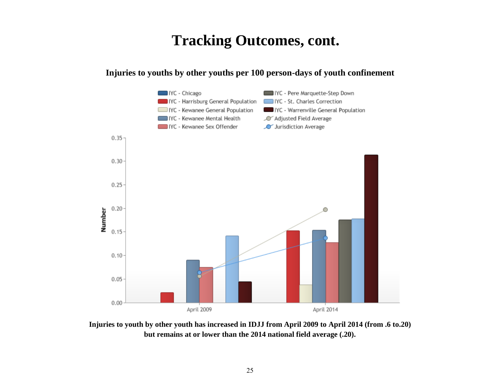### **Injuries to youths by other youths per 100 person-days of youth confinement**



**Injuries to youth by other youth has increased in IDJJ from April 2009 to April 2014 (from .6 to.20) but remains at or lower than the 2014 national field average (.20).**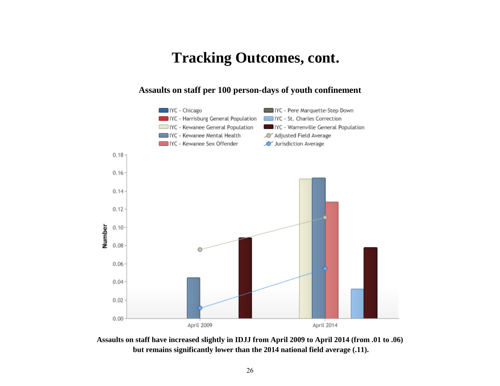#### **Assaults on staff per 100 person-days of youth confinement**



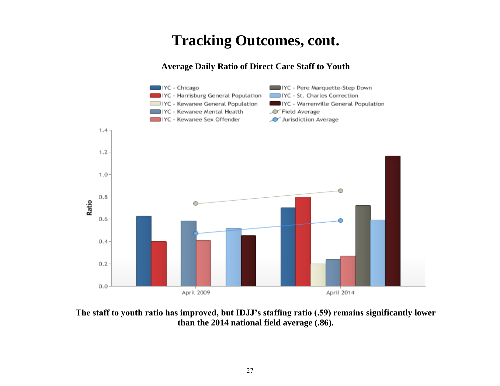### **Average Daily Ratio of Direct Care Staff to Youth**



**The staff to youth ratio has improved, but IDJJ's staffing ratio (.59) remains significantly lower than the 2014 national field average (.86).**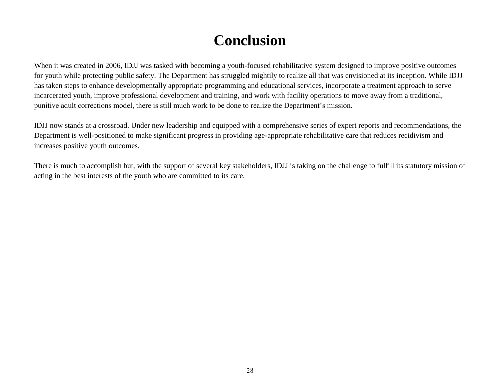# **Conclusion**

When it was created in 2006, IDJJ was tasked with becoming a youth-focused rehabilitative system designed to improve positive outcomes for youth while protecting public safety. The Department has struggled mightily to realize all that was envisioned at its inception. While IDJJ has taken steps to enhance developmentally appropriate programming and educational services, incorporate a treatment approach to serve incarcerated youth, improve professional development and training, and work with facility operations to move away from a traditional, punitive adult corrections model, there is still much work to be done to realize the Department's mission.

IDJJ now stands at a crossroad. Under new leadership and equipped with a comprehensive series of expert reports and recommendations, the Department is well-positioned to make significant progress in providing age-appropriate rehabilitative care that reduces recidivism and increases positive youth outcomes.

There is much to accomplish but, with the support of several key stakeholders, IDJJ is taking on the challenge to fulfill its statutory mission of acting in the best interests of the youth who are committed to its care.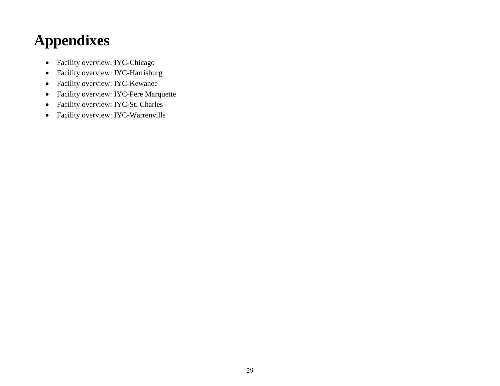# **Appendixes**

- Facility overview: IYC-Chicago
- Facility overview: IYC-Harrisburg
- Facility overview: IYC-Kewanee
- Facility overview: IYC-Pere Marquette
- Facility overview: IYC-St. Charles
- Facility overview: IYC-Warrenville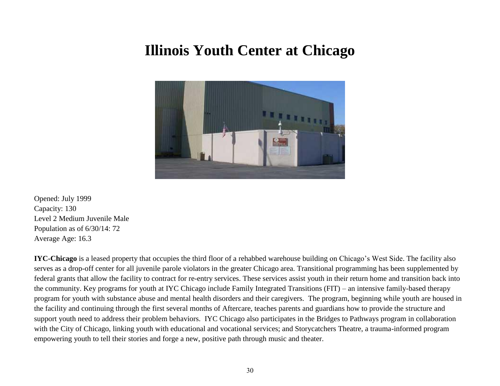### **Illinois Youth Center at Chicago**



Opened: July 1999 Capacity: 130 Level 2 Medium Juvenile Male Population as of 6/30/14: 72 Average Age: 16.3

**IYC-Chicago** is a leased property that occupies the third floor of a rehabbed warehouse building on Chicago's West Side. The facility also serves as a drop-off center for all juvenile parole violators in the greater Chicago area. Transitional programming has been supplemented by federal grants that allow the facility to contract for re-entry services. These services assist youth in their return home and transition back into the community. Key programs for youth at IYC Chicago include Family Integrated Transitions (FIT) – an intensive family-based therapy program for youth with substance abuse and mental health disorders and their caregivers. The program, beginning while youth are housed in the facility and continuing through the first several months of Aftercare, teaches parents and guardians how to provide the structure and support youth need to address their problem behaviors. IYC Chicago also participates in the Bridges to Pathways program in collaboration with the City of Chicago, linking youth with educational and vocational services; and Storycatchers Theatre, a trauma-informed program empowering youth to tell their stories and forge a new, positive path through music and theater.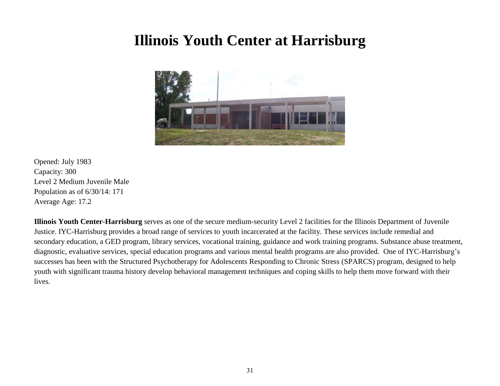# **Illinois Youth Center at Harrisburg**



Opened: July 1983 Capacity: 300 Level 2 Medium Juvenile Male Population as of 6/30/14: 171 Average Age: 17.2

**Illinois Youth Center-Harrisburg** serves as one of the secure medium-security Level 2 facilities for the Illinois Department of Juvenile Justice. IYC-Harrisburg provides a broad range of services to youth incarcerated at the facility. These services include remedial and secondary education, a GED program, library services, vocational training, guidance and work training programs. Substance abuse treatment, diagnostic, evaluative services, special education programs and various mental health programs are also provided. One of IYC-Harrisburg's successes has been with the Structured Psychotherapy for Adolescents Responding to Chronic Stress (SPARCS) program, designed to help youth with significant trauma history develop behavioral management techniques and coping skills to help them move forward with their lives.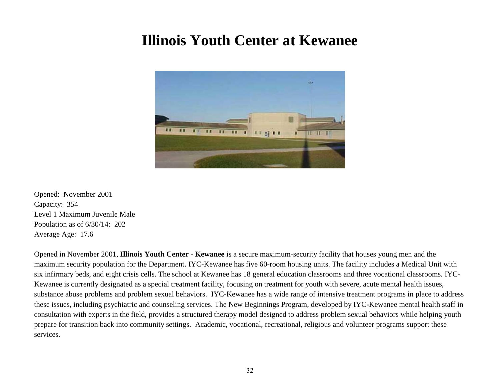# **Illinois Youth Center at Kewanee**



Opened: November 2001 Capacity: 354 Level 1 Maximum Juvenile Male Population as of 6/30/14: 202 Average Age: 17.6

Opened in November 2001, **Illinois Youth Center - Kewanee** is a secure maximum-security facility that houses young men and the maximum security population for the Department. IYC-Kewanee has five 60-room housing units. The facility includes a Medical Unit with six infirmary beds, and eight crisis cells. The school at Kewanee has 18 general education classrooms and three vocational classrooms. IYC-Kewanee is currently designated as a special treatment facility, focusing on treatment for youth with severe, acute mental health issues, substance abuse problems and problem sexual behaviors. IYC-Kewanee has a wide range of intensive treatment programs in place to address these issues, including psychiatric and counseling services. The New Beginnings Program, developed by IYC-Kewanee mental health staff in consultation with experts in the field, provides a structured therapy model designed to address problem sexual behaviors while helping youth prepare for transition back into community settings. Academic, vocational, recreational, religious and volunteer programs support these services.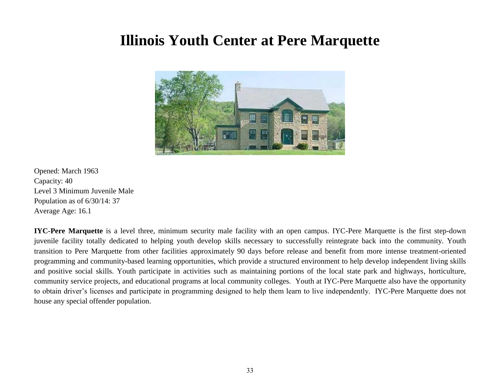### **Illinois Youth Center at Pere Marquette**



Opened: March 1963 Capacity: 40 Level 3 Minimum Juvenile Male Population as of 6/30/14: 37 Average Age: 16.1

**IYC-Pere Marquette** is a level three, minimum security male facility with an open campus. IYC-Pere Marquette is the first step-down juvenile facility totally dedicated to helping youth develop skills necessary to successfully reintegrate back into the community. Youth transition to Pere Marquette from other facilities approximately 90 days before release and benefit from more intense treatment-oriented programming and community-based learning opportunities, which provide a structured environment to help develop independent living skills and positive social skills. Youth participate in activities such as maintaining portions of the local state park and highways, horticulture, community service projects, and educational programs at local community colleges. Youth at IYC-Pere Marquette also have the opportunity to obtain driver's licenses and participate in programming designed to help them learn to live independently. IYC-Pere Marquette does not house any special offender population.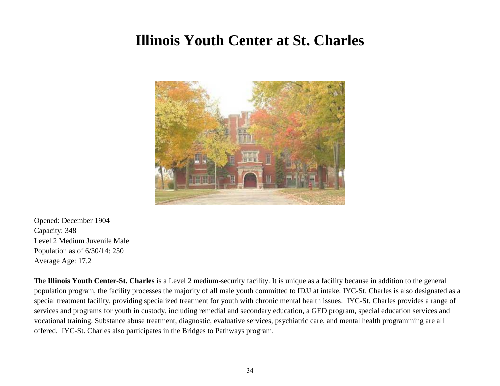# **Illinois Youth Center at St. Charles**



Opened: December 1904 Capacity: 348 Level 2 Medium Juvenile Male Population as of 6/30/14: 250 Average Age: 17.2

The **Illinois Youth Center-St. Charles** is a Level 2 medium-security facility. It is unique as a facility because in addition to the general population program, the facility processes the majority of all male youth committed to IDJJ at intake. IYC-St. Charles is also designated as a special treatment facility, providing specialized treatment for youth with chronic mental health issues. IYC-St. Charles provides a range of services and programs for youth in custody, including remedial and secondary education, a GED program, special education services and vocational training. Substance abuse treatment, diagnostic, evaluative services, psychiatric care, and mental health programming are all offered. IYC-St. Charles also participates in the Bridges to Pathways program.